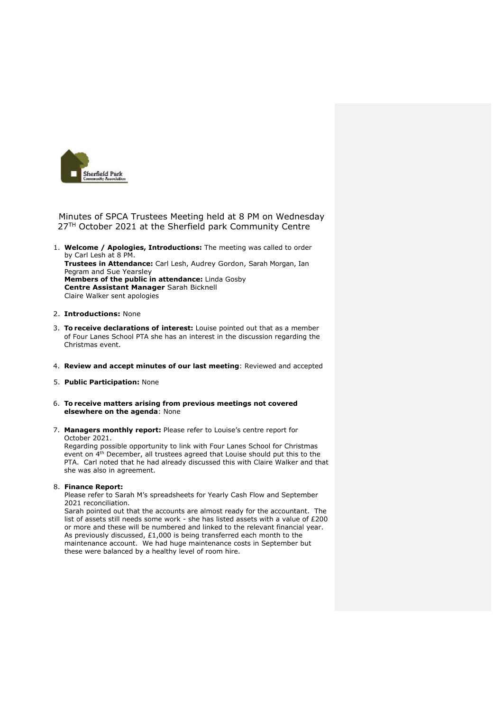

Minutes of SPCA Trustees Meeting held at 8 PM on Wednesday 27<sup>TH</sup> October 2021 at the Sherfield park Community Centre

1. **Welcome / Apologies, Introductions:** The meeting was called to order by Carl Lesh at 8 PM. **Trustees in Attendance:** Carl Lesh, Audrey Gordon, Sarah Morgan, Ian Pegram and Sue Yearsley **Members of the public in attendance:** Linda Gosby **Centre Assistant Manager** Sarah Bicknell Claire Walker sent apologies

## 2. **Introductions:** None

- 3. **To receive declarations of interest:** Louise pointed out that as a member of Four Lanes School PTA she has an interest in the discussion regarding the Christmas event.
- 4. **Review and accept minutes of our last meeting**: Reviewed and accepted
- 5. **Public Participation:** None
- 6. **To receive matters arising from previous meetings not covered elsewhere on the agenda**: None
- 7. **Managers monthly report:** Please refer to Louise's centre report for October 2021.

Regarding possible opportunity to link with Four Lanes School for Christmas event on 4<sup>th</sup> December, all trustees agreed that Louise should put this to the PTA. Carl noted that he had already discussed this with Claire Walker and that she was also in agreement.

## 8. **Finance Report:**

Please refer to Sarah M's spreadsheets for Yearly Cash Flow and September 2021 reconciliation.

Sarah pointed out that the accounts are almost ready for the accountant. The list of assets still needs some work - she has listed assets with a value of £200 or more and these will be numbered and linked to the relevant financial year. As previously discussed, £1,000 is being transferred each month to the maintenance account. We had huge maintenance costs in September but these were balanced by a healthy level of room hire.